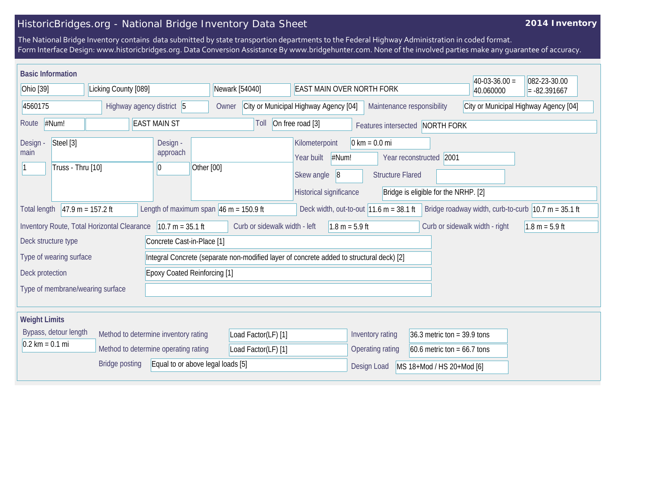## HistoricBridges.org - National Bridge Inventory Data Sheet

## **2014 Inventory**

The National Bridge Inventory contains data submitted by state transportion departments to the Federal Highway Administration in coded format. Form Interface Design: www.historicbridges.org. Data Conversion Assistance By www.bridgehunter.com. None of the involved parties make any guarantee of accuracy.

| <b>Basic Information</b><br>Ohio [39] |                                |                                             |                                                            |                                     |                                                    |                               |                                                                                          |                            |                                                            |                                                                 | $40-03-36.00 =$                | 082-23-30.00                                                            |
|---------------------------------------|--------------------------------|---------------------------------------------|------------------------------------------------------------|-------------------------------------|----------------------------------------------------|-------------------------------|------------------------------------------------------------------------------------------|----------------------------|------------------------------------------------------------|-----------------------------------------------------------------|--------------------------------|-------------------------------------------------------------------------|
| Licking County [089]                  |                                |                                             |                                                            |                                     | Newark [54040]<br><b>EAST MAIN OVER NORTH FORK</b> |                               |                                                                                          |                            |                                                            | 40.060000                                                       | $= -82.391667$                 |                                                                         |
| 4560175<br>Highway agency district 5  |                                |                                             |                                                            | Owner                               | City or Municipal Highway Agency [04]              |                               |                                                                                          | Maintenance responsibility |                                                            | City or Municipal Highway Agency [04]                           |                                |                                                                         |
| Route                                 | #Num!                          |                                             | <b>EAST MAIN ST</b>                                        |                                     |                                                    | Toll                          | On free road [3]                                                                         |                            |                                                            | Features intersected NORTH FORK                                 |                                |                                                                         |
| Design -<br>main                      | Steel [3]<br>Truss - Thru [10] |                                             | Design -<br>approach<br>0                                  | Other [00]                          |                                                    |                               | Kilometerpoint<br>Year built<br>Skew angle<br>Historical significance                    | #Num!<br> 8                | $0 \text{ km} = 0.0 \text{ mi}$<br><b>Structure Flared</b> | Year reconstructed 2001<br>Bridge is eligible for the NRHP. [2] |                                |                                                                         |
| <b>Total length</b>                   |                                | $47.9 m = 157.2 ft$                         | Length of maximum span $ 46 \text{ m} = 150.9 \text{ ft} $ |                                     |                                                    |                               |                                                                                          |                            | Deck width, out-to-out $11.6$ m = 38.1 ft                  |                                                                 |                                | Bridge roadway width, curb-to-curb $ 10.7 \text{ m} = 35.1 \text{ ft} $ |
|                                       |                                | Inventory Route, Total Horizontal Clearance |                                                            | $10.7 m = 35.1 ft$                  |                                                    | Curb or sidewalk width - left |                                                                                          | $1.8 m = 5.9 ft$           |                                                            |                                                                 | Curb or sidewalk width - right | $1.8 m = 5.9 ft$                                                        |
| Deck structure type                   |                                |                                             |                                                            | Concrete Cast-in-Place [1]          |                                                    |                               |                                                                                          |                            |                                                            |                                                                 |                                |                                                                         |
|                                       | Type of wearing surface        |                                             |                                                            |                                     |                                                    |                               | Integral Concrete (separate non-modified layer of concrete added to structural deck) [2] |                            |                                                            |                                                                 |                                |                                                                         |
| Deck protection                       |                                |                                             |                                                            | <b>Epoxy Coated Reinforcing [1]</b> |                                                    |                               |                                                                                          |                            |                                                            |                                                                 |                                |                                                                         |
|                                       |                                | Type of membrane/wearing surface            |                                                            |                                     |                                                    |                               |                                                                                          |                            |                                                            |                                                                 |                                |                                                                         |
| <b>Weight Limits</b>                  |                                |                                             |                                                            |                                     |                                                    |                               |                                                                                          |                            |                                                            |                                                                 |                                |                                                                         |
|                                       | Bypass, detour length          |                                             | Method to determine inventory rating                       |                                     |                                                    | Load Factor(LF) [1]           |                                                                                          |                            | Inventory rating                                           | 36.3 metric ton = $39.9$ tons                                   |                                |                                                                         |
| $0.2 \text{ km} = 0.1 \text{ mi}$     |                                |                                             | Method to determine operating rating                       |                                     |                                                    | Load Factor(LF) [1]           |                                                                                          |                            | Operating rating                                           | $60.6$ metric ton = $66.7$ tons                                 |                                |                                                                         |
|                                       |                                | <b>Bridge posting</b>                       |                                                            | Equal to or above legal loads [5]   |                                                    |                               |                                                                                          |                            | Design Load                                                | MS 18+Mod / HS 20+Mod [6]                                       |                                |                                                                         |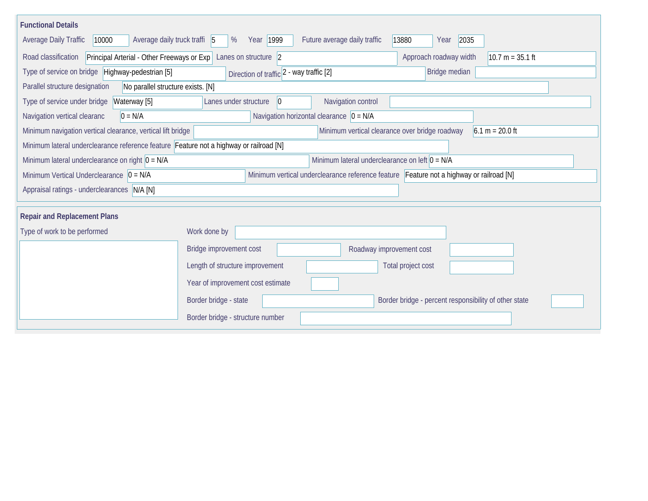| <b>Functional Details</b>                                                                                                                  |                                                                                         |                                                  |                                                       |                   |  |  |  |  |  |  |
|--------------------------------------------------------------------------------------------------------------------------------------------|-----------------------------------------------------------------------------------------|--------------------------------------------------|-------------------------------------------------------|-------------------|--|--|--|--|--|--|
| Average daily truck traffi 5<br>Average Daily Traffic<br>10000                                                                             | Year 1999<br>%                                                                          | Future average daily traffic<br>13880            | 2035<br>Year                                          |                   |  |  |  |  |  |  |
| Road classification<br>Approach roadway width<br>Principal Arterial - Other Freeways or Exp   Lanes on structure   2<br>$10.7 m = 35.1 ft$ |                                                                                         |                                                  |                                                       |                   |  |  |  |  |  |  |
| Type of service on bridge Highway-pedestrian [5]                                                                                           | Bridge median                                                                           |                                                  |                                                       |                   |  |  |  |  |  |  |
| Parallel structure designation<br>No parallel structure exists. [N]                                                                        |                                                                                         |                                                  |                                                       |                   |  |  |  |  |  |  |
| Type of service under bridge<br>Waterway [5]                                                                                               | Lanes under structure<br>$ 0\rangle$                                                    | Navigation control                               |                                                       |                   |  |  |  |  |  |  |
| Navigation vertical clearanc<br>$0 = N/A$                                                                                                  | Navigation horizontal clearance $\vert 0 = N/A \vert$                                   |                                                  |                                                       |                   |  |  |  |  |  |  |
| Minimum navigation vertical clearance, vertical lift bridge                                                                                |                                                                                         | Minimum vertical clearance over bridge roadway   |                                                       | $6.1 m = 20.0 ft$ |  |  |  |  |  |  |
| Minimum lateral underclearance reference feature Feature not a highway or railroad [N]                                                     |                                                                                         |                                                  |                                                       |                   |  |  |  |  |  |  |
| Minimum lateral underclearance on right $0 = N/A$                                                                                          |                                                                                         | Minimum lateral underclearance on left $0 = N/A$ |                                                       |                   |  |  |  |  |  |  |
| Minimum Vertical Underclearance $\vert 0 = N/A \vert$                                                                                      | Minimum vertical underclearance reference feature Feature not a highway or railroad [N] |                                                  |                                                       |                   |  |  |  |  |  |  |
| Appraisal ratings - underclearances N/A [N]                                                                                                |                                                                                         |                                                  |                                                       |                   |  |  |  |  |  |  |
|                                                                                                                                            |                                                                                         |                                                  |                                                       |                   |  |  |  |  |  |  |
| <b>Repair and Replacement Plans</b>                                                                                                        |                                                                                         |                                                  |                                                       |                   |  |  |  |  |  |  |
| Type of work to be performed                                                                                                               | Work done by                                                                            |                                                  |                                                       |                   |  |  |  |  |  |  |
|                                                                                                                                            | Roadway improvement cost                                                                |                                                  |                                                       |                   |  |  |  |  |  |  |
|                                                                                                                                            | Length of structure improvement                                                         | Total project cost                               |                                                       |                   |  |  |  |  |  |  |
|                                                                                                                                            | Year of improvement cost estimate                                                       |                                                  |                                                       |                   |  |  |  |  |  |  |
|                                                                                                                                            | Border bridge - state                                                                   |                                                  | Border bridge - percent responsibility of other state |                   |  |  |  |  |  |  |
|                                                                                                                                            | Border bridge - structure number                                                        |                                                  |                                                       |                   |  |  |  |  |  |  |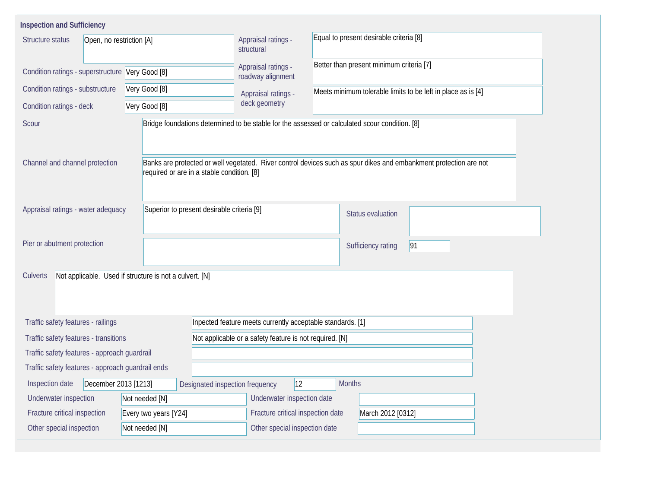| <b>Inspection and Sufficiency</b>                                                |                                                         |                                                                                                                                                                 |                                                              |  |  |  |  |  |  |  |
|----------------------------------------------------------------------------------|---------------------------------------------------------|-----------------------------------------------------------------------------------------------------------------------------------------------------------------|--------------------------------------------------------------|--|--|--|--|--|--|--|
| Structure status<br>Open, no restriction [A]                                     |                                                         | Appraisal ratings -<br>structural                                                                                                                               | Equal to present desirable criteria [8]                      |  |  |  |  |  |  |  |
| Condition ratings - superstructure Very Good [8]                                 |                                                         | Appraisal ratings -<br>roadway alignment                                                                                                                        | Better than present minimum criteria [7]                     |  |  |  |  |  |  |  |
| Condition ratings - substructure                                                 | Very Good [8]<br>Very Good [8]                          |                                                                                                                                                                 | Meets minimum tolerable limits to be left in place as is [4] |  |  |  |  |  |  |  |
| Condition ratings - deck                                                         |                                                         |                                                                                                                                                                 |                                                              |  |  |  |  |  |  |  |
| Scour                                                                            |                                                         | Bridge foundations determined to be stable for the assessed or calculated scour condition. [8]                                                                  |                                                              |  |  |  |  |  |  |  |
| Channel and channel protection                                                   |                                                         | Banks are protected or well vegetated. River control devices such as spur dikes and embankment protection are not<br>required or are in a stable condition. [8] |                                                              |  |  |  |  |  |  |  |
| Superior to present desirable criteria [9]<br>Appraisal ratings - water adequacy |                                                         |                                                                                                                                                                 | <b>Status evaluation</b>                                     |  |  |  |  |  |  |  |
| Pier or abutment protection                                                      |                                                         |                                                                                                                                                                 | 91<br>Sufficiency rating                                     |  |  |  |  |  |  |  |
| Culverts                                                                         | Not applicable. Used if structure is not a culvert. [N] |                                                                                                                                                                 |                                                              |  |  |  |  |  |  |  |
| Traffic safety features - railings                                               |                                                         |                                                                                                                                                                 | Inpected feature meets currently acceptable standards. [1]   |  |  |  |  |  |  |  |
| Traffic safety features - transitions                                            |                                                         | Not applicable or a safety feature is not required. [N]                                                                                                         |                                                              |  |  |  |  |  |  |  |
| Traffic safety features - approach guardrail                                     |                                                         |                                                                                                                                                                 |                                                              |  |  |  |  |  |  |  |
| Traffic safety features - approach guardrail ends                                |                                                         |                                                                                                                                                                 |                                                              |  |  |  |  |  |  |  |
| December 2013 [1213]<br>Inspection date                                          |                                                         | $ 12\rangle$<br>Designated inspection frequency                                                                                                                 | <b>Months</b>                                                |  |  |  |  |  |  |  |
| Underwater inspection                                                            | Not needed [N]                                          | Underwater inspection date                                                                                                                                      |                                                              |  |  |  |  |  |  |  |
| Fracture critical inspection                                                     | Every two years [Y24]                                   |                                                                                                                                                                 | Fracture critical inspection date<br>March 2012 [0312]       |  |  |  |  |  |  |  |
| Other special inspection                                                         | Not needed [N]                                          | Other special inspection date                                                                                                                                   |                                                              |  |  |  |  |  |  |  |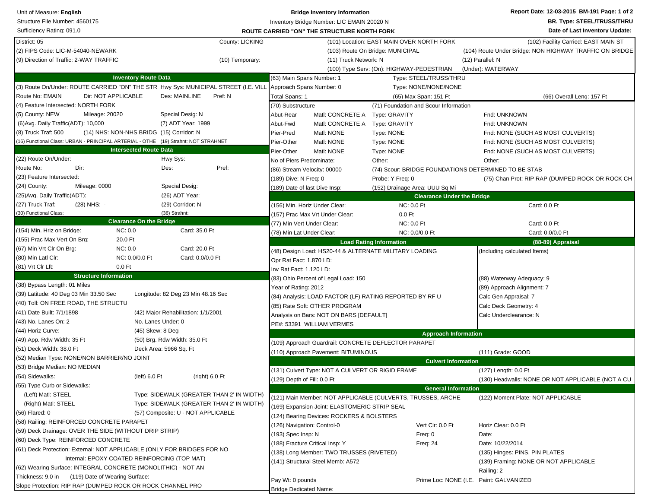| <b>BR. Type: STEEL/TRUSS/THRU</b><br>Structure File Number: 4560175<br>Inventory Bridge Number: LIC EMAIN 20020 N<br>Sufficiency Rating: 091.0<br>Date of Last Inventory Update:<br><b>ROUTE CARRIED "ON" THE STRUCTURE NORTH FORK</b><br>County: LICKING<br>(101) Location: EAST MAIN OVER NORTH FORK<br>(102) Facility Carried: EAST MAIN ST<br>(2) FIPS Code: LIC-M-54040-NEWARK<br>(103) Route On Bridge: MUNICIPAL<br>(104) Route Under Bridge: NON HIGHWAY TRAFFIC ON BRIDGE<br>(10) Temporary:<br>(11) Truck Network: N<br>(12) Parallel: N<br>(100) Type Serv: (On): HIGHWAY-PEDESTRIAN<br>(Under): WATERWAY<br><b>Inventory Route Data</b><br>(63) Main Spans Number: 1<br>Type: STEEL/TRUSS/THRU<br>(3) Route On/Under: ROUTE CARRIED "ON" THE STR Hwy Sys: MUNICIPAL STREET (I.E. VILL<br>Approach Spans Number: 0<br>Type: NONE/NONE/NONE<br>Dir: NOT APPLICABLE<br>Route No: EMAIN<br>Des: MAINLINE<br>Pref: N<br>Total Spans: 1<br>(65) Max Span: 151 Ft<br>(66) Overall Leng: 157 Ft<br>(4) Feature Intersected: NORTH FORK<br>(70) Substructure<br>(71) Foundation and Scour Information<br>(5) County: NEW<br>Mileage: 20020<br>Special Desig: N<br>Abut-Rear<br>Matl: CONCRETE A Type: GRAVITY<br>Fnd: UNKNOWN<br>(7) ADT Year: 1999<br>(6) Avg. Daily Traffic (ADT): 10,000<br>Abut-Fwd<br>Matl: CONCRETE A<br>Fnd: UNKNOWN<br>Type: GRAVITY<br>(8) Truck Traf: 500<br>(14) NHS: NON-NHS BRIDG (15) Corridor: N<br>Pier-Pred<br>Matl: NONE<br>Type: NONE<br>Fnd: NONE (SUCH AS MOST CULVERTS)<br>(16) Functional Class: URBAN - PRINCIPAL ARTERIAL - OTHE (19) Strahnt: NOT STRAHNET<br>Matl: NONE<br>Pier-Other<br>Type: NONE<br>Fnd: NONE (SUCH AS MOST CULVERTS)<br><b>Intersected Route Data</b><br>Pier-Other<br>Matl: NONE<br>Type: NONE<br>Fnd: NONE (SUCH AS MOST CULVERTS)<br>(22) Route On/Under:<br>Hwy Sys:<br>Other:<br>No of Piers Predominate:<br>Other:<br>Dir:<br>Des:<br>Pref:<br>(74) Scour: BRIDGE FOUNDATIONS DETERMINED TO BE STAB<br>(86) Stream Velocity: 00000<br>(23) Feature Intersected:<br>(189) Dive: N Freq: 0<br>Probe: Y Freq: 0<br>(75) Chan Prot: RIP RAP (DUMPED ROCK OR ROCK CH<br>(24) County:<br>Mileage: 0000<br>Special Desig:<br>(189) Date of last Dive Insp:<br>(152) Drainage Area: UUU Sq Mi<br>(26) ADT Year:<br>(25) Avg. Daily Traffic (ADT):<br><b>Clearance Under the Bridge</b><br>(28) NHS: -<br>(29) Corridor: N<br>NC: 0.0 Ft<br>Card: 0.0 Ft<br>(156) Min. Horiz Under Clear:<br>(30) Functional Class:<br>(36) Strahnt:<br>(157) Prac Max Vrt Under Clear:<br>$0.0$ Ft<br><b>Clearance On the Bridge</b><br>(77) Min Vert Under Clear:<br><b>NC: 0.0 Ft</b><br>Card: 0.0 Ft<br>(154) Min. Hriz on Bridge:<br>NC: 0.0<br>Card: 35.0 Ft<br>(78) Min Lat Under Clear:<br>NC: 0.0/0.0 Ft<br>Card: 0.0/0.0 Ft<br>20.0 Ft<br>(155) Prac Max Vert On Brg:<br><b>Load Rating Information</b><br>(88-89) Appraisal<br>NC: 0.0<br>(67) Min Vrt Clr On Brg:<br>Card: 20.0 Ft<br>(48) Design Load: HS20-44 & ALTERNATE MILITARY LOADING<br>(Including calculated Items)<br>Card: 0.0/0.0 Ft<br>(80) Min Latl Clr:<br>NC: 0.0/0.0 Ft<br>Opr Rat Fact: 1.870 LD:<br>$0.0$ Ft<br>Inv Rat Fact: 1.120 LD:<br><b>Structure Information</b><br>(83) Ohio Percent of Legal Load: 150<br>(88) Waterway Adequacy: 9<br>(38) Bypass Length: 01 Miles<br>Year of Rating: 2012<br>(89) Approach Alignment: 7<br>(39) Latitude: 40 Deg 03 Min 33.50 Sec<br>Longitude: 82 Deg 23 Min 48.16 Sec<br>(84) Analysis: LOAD FACTOR (LF) RATING REPORTED BY RF U<br>Calc Gen Appraisal: 7<br>(40) Toll: ON FREE ROAD, THE STRUCTU<br>(85) Rate Soft: OTHER PROGRAM<br>Calc Deck Geometry: 4<br>(41) Date Built: 7/1/1898<br>(42) Major Rehabilitation: 1/1/2001<br>Analysis on Bars: NOT ON BARS [DEFAULT]<br>Calc Underclearance: N<br>(43) No. Lanes On: 2<br>No. Lanes Under: 0<br>PE#: 53391 WILLIAM VERMES<br>(44) Horiz Curve:<br>(45) Skew: 8 Deg<br><b>Approach Information</b><br>(49) App. Rdw Width: 35 Ft<br>(50) Brg. Rdw Width: 35.0 Ft<br>(109) Approach Guardrail: CONCRETE DEFLECTOR PARAPET<br>(51) Deck Width: 38.0 Ft<br>Deck Area: 5966 Sq. Ft<br>(110) Approach Pavement: BITUMINOUS<br>(111) Grade: GOOD<br>(52) Median Type: NONE/NON BARRIER/NO JOINT<br><b>Culvert Information</b><br>(53) Bridge Median: NO MEDIAN<br>(131) Culvert Type: NOT A CULVERT OR RIGID FRAME<br>(127) Length: 0.0 Ft<br>(54) Sidewalks:<br>(left) 6.0 Ft<br>(right) 6.0 Ft<br>(129) Depth of Fill: 0.0 Ft<br>(130) Headwalls: NONE OR NOT APPLICABLE (NOT A CU<br>(55) Type Curb or Sidewalks:<br><b>General Information</b><br>(Left) Matl: STEEL<br>Type: SIDEWALK (GREATER THAN 2' IN WIDTH)<br>(121) Main Member: NOT APPLICABLE (CULVERTS, TRUSSES, ARCHE<br>(122) Moment Plate: NOT APPLICABLE<br>(Right) Matl: STEEL<br>Type: SIDEWALK (GREATER THAN 2' IN WIDTH)<br>(169) Expansion Joint: ELASTOMERIC STRIP SEAL<br>(56) Flared: 0<br>(57) Composite: U - NOT APPLICABLE<br>(124) Bearing Devices: ROCKERS & BOLSTERS<br>(58) Railing: REINFORCED CONCRETE PARAPET<br>(126) Navigation: Control-0<br>Vert Clr: 0.0 Ft<br>Horiz Clear: 0.0 Ft<br>(59) Deck Drainage: OVER THE SIDE (WITHOUT DRIP STRIP)<br>(193) Spec Insp: N<br>Freq: 0<br>Date:<br>(60) Deck Type: REINFORCED CONCRETE<br>(188) Fracture Critical Insp: Y<br>Date: 10/22/2014<br>Freq: 24<br>(61) Deck Protection: External: NOT APPLICABLE (ONLY FOR BRIDGES FOR NO<br>(138) Long Member: TWO TRUSSES (RIVETED)<br>(135) Hinges: PINS, PIN PLATES<br>Internal: EPOXY COATED REINFORCING (TOP MAT)<br>(141) Structural Steel Memb: A572<br>(139) Framing: NONE OR NOT APPLICABLE<br>(62) Wearing Surface: INTEGRAL CONCRETE (MONOLITHIC) - NOT AN<br>Railing: 2<br>Thickness: 9.0 in<br>(119) Date of Wearing Surface:<br>Pay Wt: 0 pounds<br>Prime Loc: NONE (I.E. Paint: GALVANIZED<br>Slope Protection: RIP RAP (DUMPED ROCK OR ROCK CHANNEL PRO<br><b>Bridge Dedicated Name:</b> | Unit of Measure: English                | <b>Bridge Inventory Information</b> |  |  |  |  |
|----------------------------------------------------------------------------------------------------------------------------------------------------------------------------------------------------------------------------------------------------------------------------------------------------------------------------------------------------------------------------------------------------------------------------------------------------------------------------------------------------------------------------------------------------------------------------------------------------------------------------------------------------------------------------------------------------------------------------------------------------------------------------------------------------------------------------------------------------------------------------------------------------------------------------------------------------------------------------------------------------------------------------------------------------------------------------------------------------------------------------------------------------------------------------------------------------------------------------------------------------------------------------------------------------------------------------------------------------------------------------------------------------------------------------------------------------------------------------------------------------------------------------------------------------------------------------------------------------------------------------------------------------------------------------------------------------------------------------------------------------------------------------------------------------------------------------------------------------------------------------------------------------------------------------------------------------------------------------------------------------------------------------------------------------------------------------------------------------------------------------------------------------------------------------------------------------------------------------------------------------------------------------------------------------------------------------------------------------------------------------------------------------------------------------------------------------------------------------------------------------------------------------------------------------------------------------------------------------------------------------------------------------------------------------------------------------------------------------------------------------------------------------------------------------------------------------------------------------------------------------------------------------------------------------------------------------------------------------------------------------------------------------------------------------------------------------------------------------------------------------------------------------------------------------------------------------------------------------------------------------------------------------------------------------------------------------------------------------------------------------------------------------------------------------------------------------------------------------------------------------------------------------------------------------------------------------------------------------------------------------------------------------------------------------------------------------------------------------------------------------------------------------------------------------------------------------------------------------------------------------------------------------------------------------------------------------------------------------------------------------------------------------------------------------------------------------------------------------------------------------------------------------------------------------------------------------------------------------------------------------------------------------------------------------------------------------------------------------------------------------------------------------------------------------------------------------------------------------------------------------------------------------------------------------------------------------------------------------------------------------------------------------------------------------------------------------------------------------------------------------------------------------------------------------------------------------------------------------------------------------------------------------------------------------------------------------------------------------------------------------------------------------------------------------------------------------------------------------------------------------------------------------------------------------------------------------------------------------------------------------------------------------------------------------------------------------------------------------------------------------------------------------------------------------------------------------------------------------------------------------------------------------------------------------------------------------------------------------------------------------------------------------------------------------------------------------------------------------------------------------------------------------------------------------------------------------------------------------------------------------------------------------------------|-----------------------------------------|-------------------------------------|--|--|--|--|
|                                                                                                                                                                                                                                                                                                                                                                                                                                                                                                                                                                                                                                                                                                                                                                                                                                                                                                                                                                                                                                                                                                                                                                                                                                                                                                                                                                                                                                                                                                                                                                                                                                                                                                                                                                                                                                                                                                                                                                                                                                                                                                                                                                                                                                                                                                                                                                                                                                                                                                                                                                                                                                                                                                                                                                                                                                                                                                                                                                                                                                                                                                                                                                                                                                                                                                                                                                                                                                                                                                                                                                                                                                                                                                                                                                                                                                                                                                                                                                                                                                                                                                                                                                                                                                                                                                                                                                                                                                                                                                                                                                                                                                                                                                                                                                                                                                                                                                                                                                                                                                                                                                                                                                                                                                                                                                                                                                                                                                                                                                                                                                                                                                                                                                                                                                                                                                                                                                                |                                         |                                     |  |  |  |  |
|                                                                                                                                                                                                                                                                                                                                                                                                                                                                                                                                                                                                                                                                                                                                                                                                                                                                                                                                                                                                                                                                                                                                                                                                                                                                                                                                                                                                                                                                                                                                                                                                                                                                                                                                                                                                                                                                                                                                                                                                                                                                                                                                                                                                                                                                                                                                                                                                                                                                                                                                                                                                                                                                                                                                                                                                                                                                                                                                                                                                                                                                                                                                                                                                                                                                                                                                                                                                                                                                                                                                                                                                                                                                                                                                                                                                                                                                                                                                                                                                                                                                                                                                                                                                                                                                                                                                                                                                                                                                                                                                                                                                                                                                                                                                                                                                                                                                                                                                                                                                                                                                                                                                                                                                                                                                                                                                                                                                                                                                                                                                                                                                                                                                                                                                                                                                                                                                                                                |                                         |                                     |  |  |  |  |
|                                                                                                                                                                                                                                                                                                                                                                                                                                                                                                                                                                                                                                                                                                                                                                                                                                                                                                                                                                                                                                                                                                                                                                                                                                                                                                                                                                                                                                                                                                                                                                                                                                                                                                                                                                                                                                                                                                                                                                                                                                                                                                                                                                                                                                                                                                                                                                                                                                                                                                                                                                                                                                                                                                                                                                                                                                                                                                                                                                                                                                                                                                                                                                                                                                                                                                                                                                                                                                                                                                                                                                                                                                                                                                                                                                                                                                                                                                                                                                                                                                                                                                                                                                                                                                                                                                                                                                                                                                                                                                                                                                                                                                                                                                                                                                                                                                                                                                                                                                                                                                                                                                                                                                                                                                                                                                                                                                                                                                                                                                                                                                                                                                                                                                                                                                                                                                                                                                                | District: 05                            |                                     |  |  |  |  |
|                                                                                                                                                                                                                                                                                                                                                                                                                                                                                                                                                                                                                                                                                                                                                                                                                                                                                                                                                                                                                                                                                                                                                                                                                                                                                                                                                                                                                                                                                                                                                                                                                                                                                                                                                                                                                                                                                                                                                                                                                                                                                                                                                                                                                                                                                                                                                                                                                                                                                                                                                                                                                                                                                                                                                                                                                                                                                                                                                                                                                                                                                                                                                                                                                                                                                                                                                                                                                                                                                                                                                                                                                                                                                                                                                                                                                                                                                                                                                                                                                                                                                                                                                                                                                                                                                                                                                                                                                                                                                                                                                                                                                                                                                                                                                                                                                                                                                                                                                                                                                                                                                                                                                                                                                                                                                                                                                                                                                                                                                                                                                                                                                                                                                                                                                                                                                                                                                                                |                                         |                                     |  |  |  |  |
|                                                                                                                                                                                                                                                                                                                                                                                                                                                                                                                                                                                                                                                                                                                                                                                                                                                                                                                                                                                                                                                                                                                                                                                                                                                                                                                                                                                                                                                                                                                                                                                                                                                                                                                                                                                                                                                                                                                                                                                                                                                                                                                                                                                                                                                                                                                                                                                                                                                                                                                                                                                                                                                                                                                                                                                                                                                                                                                                                                                                                                                                                                                                                                                                                                                                                                                                                                                                                                                                                                                                                                                                                                                                                                                                                                                                                                                                                                                                                                                                                                                                                                                                                                                                                                                                                                                                                                                                                                                                                                                                                                                                                                                                                                                                                                                                                                                                                                                                                                                                                                                                                                                                                                                                                                                                                                                                                                                                                                                                                                                                                                                                                                                                                                                                                                                                                                                                                                                | (9) Direction of Traffic: 2-WAY TRAFFIC |                                     |  |  |  |  |
|                                                                                                                                                                                                                                                                                                                                                                                                                                                                                                                                                                                                                                                                                                                                                                                                                                                                                                                                                                                                                                                                                                                                                                                                                                                                                                                                                                                                                                                                                                                                                                                                                                                                                                                                                                                                                                                                                                                                                                                                                                                                                                                                                                                                                                                                                                                                                                                                                                                                                                                                                                                                                                                                                                                                                                                                                                                                                                                                                                                                                                                                                                                                                                                                                                                                                                                                                                                                                                                                                                                                                                                                                                                                                                                                                                                                                                                                                                                                                                                                                                                                                                                                                                                                                                                                                                                                                                                                                                                                                                                                                                                                                                                                                                                                                                                                                                                                                                                                                                                                                                                                                                                                                                                                                                                                                                                                                                                                                                                                                                                                                                                                                                                                                                                                                                                                                                                                                                                |                                         |                                     |  |  |  |  |
|                                                                                                                                                                                                                                                                                                                                                                                                                                                                                                                                                                                                                                                                                                                                                                                                                                                                                                                                                                                                                                                                                                                                                                                                                                                                                                                                                                                                                                                                                                                                                                                                                                                                                                                                                                                                                                                                                                                                                                                                                                                                                                                                                                                                                                                                                                                                                                                                                                                                                                                                                                                                                                                                                                                                                                                                                                                                                                                                                                                                                                                                                                                                                                                                                                                                                                                                                                                                                                                                                                                                                                                                                                                                                                                                                                                                                                                                                                                                                                                                                                                                                                                                                                                                                                                                                                                                                                                                                                                                                                                                                                                                                                                                                                                                                                                                                                                                                                                                                                                                                                                                                                                                                                                                                                                                                                                                                                                                                                                                                                                                                                                                                                                                                                                                                                                                                                                                                                                |                                         |                                     |  |  |  |  |
|                                                                                                                                                                                                                                                                                                                                                                                                                                                                                                                                                                                                                                                                                                                                                                                                                                                                                                                                                                                                                                                                                                                                                                                                                                                                                                                                                                                                                                                                                                                                                                                                                                                                                                                                                                                                                                                                                                                                                                                                                                                                                                                                                                                                                                                                                                                                                                                                                                                                                                                                                                                                                                                                                                                                                                                                                                                                                                                                                                                                                                                                                                                                                                                                                                                                                                                                                                                                                                                                                                                                                                                                                                                                                                                                                                                                                                                                                                                                                                                                                                                                                                                                                                                                                                                                                                                                                                                                                                                                                                                                                                                                                                                                                                                                                                                                                                                                                                                                                                                                                                                                                                                                                                                                                                                                                                                                                                                                                                                                                                                                                                                                                                                                                                                                                                                                                                                                                                                |                                         |                                     |  |  |  |  |
|                                                                                                                                                                                                                                                                                                                                                                                                                                                                                                                                                                                                                                                                                                                                                                                                                                                                                                                                                                                                                                                                                                                                                                                                                                                                                                                                                                                                                                                                                                                                                                                                                                                                                                                                                                                                                                                                                                                                                                                                                                                                                                                                                                                                                                                                                                                                                                                                                                                                                                                                                                                                                                                                                                                                                                                                                                                                                                                                                                                                                                                                                                                                                                                                                                                                                                                                                                                                                                                                                                                                                                                                                                                                                                                                                                                                                                                                                                                                                                                                                                                                                                                                                                                                                                                                                                                                                                                                                                                                                                                                                                                                                                                                                                                                                                                                                                                                                                                                                                                                                                                                                                                                                                                                                                                                                                                                                                                                                                                                                                                                                                                                                                                                                                                                                                                                                                                                                                                |                                         |                                     |  |  |  |  |
|                                                                                                                                                                                                                                                                                                                                                                                                                                                                                                                                                                                                                                                                                                                                                                                                                                                                                                                                                                                                                                                                                                                                                                                                                                                                                                                                                                                                                                                                                                                                                                                                                                                                                                                                                                                                                                                                                                                                                                                                                                                                                                                                                                                                                                                                                                                                                                                                                                                                                                                                                                                                                                                                                                                                                                                                                                                                                                                                                                                                                                                                                                                                                                                                                                                                                                                                                                                                                                                                                                                                                                                                                                                                                                                                                                                                                                                                                                                                                                                                                                                                                                                                                                                                                                                                                                                                                                                                                                                                                                                                                                                                                                                                                                                                                                                                                                                                                                                                                                                                                                                                                                                                                                                                                                                                                                                                                                                                                                                                                                                                                                                                                                                                                                                                                                                                                                                                                                                |                                         |                                     |  |  |  |  |
|                                                                                                                                                                                                                                                                                                                                                                                                                                                                                                                                                                                                                                                                                                                                                                                                                                                                                                                                                                                                                                                                                                                                                                                                                                                                                                                                                                                                                                                                                                                                                                                                                                                                                                                                                                                                                                                                                                                                                                                                                                                                                                                                                                                                                                                                                                                                                                                                                                                                                                                                                                                                                                                                                                                                                                                                                                                                                                                                                                                                                                                                                                                                                                                                                                                                                                                                                                                                                                                                                                                                                                                                                                                                                                                                                                                                                                                                                                                                                                                                                                                                                                                                                                                                                                                                                                                                                                                                                                                                                                                                                                                                                                                                                                                                                                                                                                                                                                                                                                                                                                                                                                                                                                                                                                                                                                                                                                                                                                                                                                                                                                                                                                                                                                                                                                                                                                                                                                                |                                         |                                     |  |  |  |  |
|                                                                                                                                                                                                                                                                                                                                                                                                                                                                                                                                                                                                                                                                                                                                                                                                                                                                                                                                                                                                                                                                                                                                                                                                                                                                                                                                                                                                                                                                                                                                                                                                                                                                                                                                                                                                                                                                                                                                                                                                                                                                                                                                                                                                                                                                                                                                                                                                                                                                                                                                                                                                                                                                                                                                                                                                                                                                                                                                                                                                                                                                                                                                                                                                                                                                                                                                                                                                                                                                                                                                                                                                                                                                                                                                                                                                                                                                                                                                                                                                                                                                                                                                                                                                                                                                                                                                                                                                                                                                                                                                                                                                                                                                                                                                                                                                                                                                                                                                                                                                                                                                                                                                                                                                                                                                                                                                                                                                                                                                                                                                                                                                                                                                                                                                                                                                                                                                                                                |                                         |                                     |  |  |  |  |
|                                                                                                                                                                                                                                                                                                                                                                                                                                                                                                                                                                                                                                                                                                                                                                                                                                                                                                                                                                                                                                                                                                                                                                                                                                                                                                                                                                                                                                                                                                                                                                                                                                                                                                                                                                                                                                                                                                                                                                                                                                                                                                                                                                                                                                                                                                                                                                                                                                                                                                                                                                                                                                                                                                                                                                                                                                                                                                                                                                                                                                                                                                                                                                                                                                                                                                                                                                                                                                                                                                                                                                                                                                                                                                                                                                                                                                                                                                                                                                                                                                                                                                                                                                                                                                                                                                                                                                                                                                                                                                                                                                                                                                                                                                                                                                                                                                                                                                                                                                                                                                                                                                                                                                                                                                                                                                                                                                                                                                                                                                                                                                                                                                                                                                                                                                                                                                                                                                                |                                         |                                     |  |  |  |  |
|                                                                                                                                                                                                                                                                                                                                                                                                                                                                                                                                                                                                                                                                                                                                                                                                                                                                                                                                                                                                                                                                                                                                                                                                                                                                                                                                                                                                                                                                                                                                                                                                                                                                                                                                                                                                                                                                                                                                                                                                                                                                                                                                                                                                                                                                                                                                                                                                                                                                                                                                                                                                                                                                                                                                                                                                                                                                                                                                                                                                                                                                                                                                                                                                                                                                                                                                                                                                                                                                                                                                                                                                                                                                                                                                                                                                                                                                                                                                                                                                                                                                                                                                                                                                                                                                                                                                                                                                                                                                                                                                                                                                                                                                                                                                                                                                                                                                                                                                                                                                                                                                                                                                                                                                                                                                                                                                                                                                                                                                                                                                                                                                                                                                                                                                                                                                                                                                                                                |                                         |                                     |  |  |  |  |
|                                                                                                                                                                                                                                                                                                                                                                                                                                                                                                                                                                                                                                                                                                                                                                                                                                                                                                                                                                                                                                                                                                                                                                                                                                                                                                                                                                                                                                                                                                                                                                                                                                                                                                                                                                                                                                                                                                                                                                                                                                                                                                                                                                                                                                                                                                                                                                                                                                                                                                                                                                                                                                                                                                                                                                                                                                                                                                                                                                                                                                                                                                                                                                                                                                                                                                                                                                                                                                                                                                                                                                                                                                                                                                                                                                                                                                                                                                                                                                                                                                                                                                                                                                                                                                                                                                                                                                                                                                                                                                                                                                                                                                                                                                                                                                                                                                                                                                                                                                                                                                                                                                                                                                                                                                                                                                                                                                                                                                                                                                                                                                                                                                                                                                                                                                                                                                                                                                                |                                         |                                     |  |  |  |  |
|                                                                                                                                                                                                                                                                                                                                                                                                                                                                                                                                                                                                                                                                                                                                                                                                                                                                                                                                                                                                                                                                                                                                                                                                                                                                                                                                                                                                                                                                                                                                                                                                                                                                                                                                                                                                                                                                                                                                                                                                                                                                                                                                                                                                                                                                                                                                                                                                                                                                                                                                                                                                                                                                                                                                                                                                                                                                                                                                                                                                                                                                                                                                                                                                                                                                                                                                                                                                                                                                                                                                                                                                                                                                                                                                                                                                                                                                                                                                                                                                                                                                                                                                                                                                                                                                                                                                                                                                                                                                                                                                                                                                                                                                                                                                                                                                                                                                                                                                                                                                                                                                                                                                                                                                                                                                                                                                                                                                                                                                                                                                                                                                                                                                                                                                                                                                                                                                                                                |                                         |                                     |  |  |  |  |
|                                                                                                                                                                                                                                                                                                                                                                                                                                                                                                                                                                                                                                                                                                                                                                                                                                                                                                                                                                                                                                                                                                                                                                                                                                                                                                                                                                                                                                                                                                                                                                                                                                                                                                                                                                                                                                                                                                                                                                                                                                                                                                                                                                                                                                                                                                                                                                                                                                                                                                                                                                                                                                                                                                                                                                                                                                                                                                                                                                                                                                                                                                                                                                                                                                                                                                                                                                                                                                                                                                                                                                                                                                                                                                                                                                                                                                                                                                                                                                                                                                                                                                                                                                                                                                                                                                                                                                                                                                                                                                                                                                                                                                                                                                                                                                                                                                                                                                                                                                                                                                                                                                                                                                                                                                                                                                                                                                                                                                                                                                                                                                                                                                                                                                                                                                                                                                                                                                                | Route No:                               |                                     |  |  |  |  |
|                                                                                                                                                                                                                                                                                                                                                                                                                                                                                                                                                                                                                                                                                                                                                                                                                                                                                                                                                                                                                                                                                                                                                                                                                                                                                                                                                                                                                                                                                                                                                                                                                                                                                                                                                                                                                                                                                                                                                                                                                                                                                                                                                                                                                                                                                                                                                                                                                                                                                                                                                                                                                                                                                                                                                                                                                                                                                                                                                                                                                                                                                                                                                                                                                                                                                                                                                                                                                                                                                                                                                                                                                                                                                                                                                                                                                                                                                                                                                                                                                                                                                                                                                                                                                                                                                                                                                                                                                                                                                                                                                                                                                                                                                                                                                                                                                                                                                                                                                                                                                                                                                                                                                                                                                                                                                                                                                                                                                                                                                                                                                                                                                                                                                                                                                                                                                                                                                                                |                                         |                                     |  |  |  |  |
|                                                                                                                                                                                                                                                                                                                                                                                                                                                                                                                                                                                                                                                                                                                                                                                                                                                                                                                                                                                                                                                                                                                                                                                                                                                                                                                                                                                                                                                                                                                                                                                                                                                                                                                                                                                                                                                                                                                                                                                                                                                                                                                                                                                                                                                                                                                                                                                                                                                                                                                                                                                                                                                                                                                                                                                                                                                                                                                                                                                                                                                                                                                                                                                                                                                                                                                                                                                                                                                                                                                                                                                                                                                                                                                                                                                                                                                                                                                                                                                                                                                                                                                                                                                                                                                                                                                                                                                                                                                                                                                                                                                                                                                                                                                                                                                                                                                                                                                                                                                                                                                                                                                                                                                                                                                                                                                                                                                                                                                                                                                                                                                                                                                                                                                                                                                                                                                                                                                |                                         |                                     |  |  |  |  |
|                                                                                                                                                                                                                                                                                                                                                                                                                                                                                                                                                                                                                                                                                                                                                                                                                                                                                                                                                                                                                                                                                                                                                                                                                                                                                                                                                                                                                                                                                                                                                                                                                                                                                                                                                                                                                                                                                                                                                                                                                                                                                                                                                                                                                                                                                                                                                                                                                                                                                                                                                                                                                                                                                                                                                                                                                                                                                                                                                                                                                                                                                                                                                                                                                                                                                                                                                                                                                                                                                                                                                                                                                                                                                                                                                                                                                                                                                                                                                                                                                                                                                                                                                                                                                                                                                                                                                                                                                                                                                                                                                                                                                                                                                                                                                                                                                                                                                                                                                                                                                                                                                                                                                                                                                                                                                                                                                                                                                                                                                                                                                                                                                                                                                                                                                                                                                                                                                                                |                                         |                                     |  |  |  |  |
|                                                                                                                                                                                                                                                                                                                                                                                                                                                                                                                                                                                                                                                                                                                                                                                                                                                                                                                                                                                                                                                                                                                                                                                                                                                                                                                                                                                                                                                                                                                                                                                                                                                                                                                                                                                                                                                                                                                                                                                                                                                                                                                                                                                                                                                                                                                                                                                                                                                                                                                                                                                                                                                                                                                                                                                                                                                                                                                                                                                                                                                                                                                                                                                                                                                                                                                                                                                                                                                                                                                                                                                                                                                                                                                                                                                                                                                                                                                                                                                                                                                                                                                                                                                                                                                                                                                                                                                                                                                                                                                                                                                                                                                                                                                                                                                                                                                                                                                                                                                                                                                                                                                                                                                                                                                                                                                                                                                                                                                                                                                                                                                                                                                                                                                                                                                                                                                                                                                | (27) Truck Traf:                        |                                     |  |  |  |  |
|                                                                                                                                                                                                                                                                                                                                                                                                                                                                                                                                                                                                                                                                                                                                                                                                                                                                                                                                                                                                                                                                                                                                                                                                                                                                                                                                                                                                                                                                                                                                                                                                                                                                                                                                                                                                                                                                                                                                                                                                                                                                                                                                                                                                                                                                                                                                                                                                                                                                                                                                                                                                                                                                                                                                                                                                                                                                                                                                                                                                                                                                                                                                                                                                                                                                                                                                                                                                                                                                                                                                                                                                                                                                                                                                                                                                                                                                                                                                                                                                                                                                                                                                                                                                                                                                                                                                                                                                                                                                                                                                                                                                                                                                                                                                                                                                                                                                                                                                                                                                                                                                                                                                                                                                                                                                                                                                                                                                                                                                                                                                                                                                                                                                                                                                                                                                                                                                                                                |                                         |                                     |  |  |  |  |
|                                                                                                                                                                                                                                                                                                                                                                                                                                                                                                                                                                                                                                                                                                                                                                                                                                                                                                                                                                                                                                                                                                                                                                                                                                                                                                                                                                                                                                                                                                                                                                                                                                                                                                                                                                                                                                                                                                                                                                                                                                                                                                                                                                                                                                                                                                                                                                                                                                                                                                                                                                                                                                                                                                                                                                                                                                                                                                                                                                                                                                                                                                                                                                                                                                                                                                                                                                                                                                                                                                                                                                                                                                                                                                                                                                                                                                                                                                                                                                                                                                                                                                                                                                                                                                                                                                                                                                                                                                                                                                                                                                                                                                                                                                                                                                                                                                                                                                                                                                                                                                                                                                                                                                                                                                                                                                                                                                                                                                                                                                                                                                                                                                                                                                                                                                                                                                                                                                                |                                         |                                     |  |  |  |  |
|                                                                                                                                                                                                                                                                                                                                                                                                                                                                                                                                                                                                                                                                                                                                                                                                                                                                                                                                                                                                                                                                                                                                                                                                                                                                                                                                                                                                                                                                                                                                                                                                                                                                                                                                                                                                                                                                                                                                                                                                                                                                                                                                                                                                                                                                                                                                                                                                                                                                                                                                                                                                                                                                                                                                                                                                                                                                                                                                                                                                                                                                                                                                                                                                                                                                                                                                                                                                                                                                                                                                                                                                                                                                                                                                                                                                                                                                                                                                                                                                                                                                                                                                                                                                                                                                                                                                                                                                                                                                                                                                                                                                                                                                                                                                                                                                                                                                                                                                                                                                                                                                                                                                                                                                                                                                                                                                                                                                                                                                                                                                                                                                                                                                                                                                                                                                                                                                                                                |                                         |                                     |  |  |  |  |
|                                                                                                                                                                                                                                                                                                                                                                                                                                                                                                                                                                                                                                                                                                                                                                                                                                                                                                                                                                                                                                                                                                                                                                                                                                                                                                                                                                                                                                                                                                                                                                                                                                                                                                                                                                                                                                                                                                                                                                                                                                                                                                                                                                                                                                                                                                                                                                                                                                                                                                                                                                                                                                                                                                                                                                                                                                                                                                                                                                                                                                                                                                                                                                                                                                                                                                                                                                                                                                                                                                                                                                                                                                                                                                                                                                                                                                                                                                                                                                                                                                                                                                                                                                                                                                                                                                                                                                                                                                                                                                                                                                                                                                                                                                                                                                                                                                                                                                                                                                                                                                                                                                                                                                                                                                                                                                                                                                                                                                                                                                                                                                                                                                                                                                                                                                                                                                                                                                                |                                         |                                     |  |  |  |  |
|                                                                                                                                                                                                                                                                                                                                                                                                                                                                                                                                                                                                                                                                                                                                                                                                                                                                                                                                                                                                                                                                                                                                                                                                                                                                                                                                                                                                                                                                                                                                                                                                                                                                                                                                                                                                                                                                                                                                                                                                                                                                                                                                                                                                                                                                                                                                                                                                                                                                                                                                                                                                                                                                                                                                                                                                                                                                                                                                                                                                                                                                                                                                                                                                                                                                                                                                                                                                                                                                                                                                                                                                                                                                                                                                                                                                                                                                                                                                                                                                                                                                                                                                                                                                                                                                                                                                                                                                                                                                                                                                                                                                                                                                                                                                                                                                                                                                                                                                                                                                                                                                                                                                                                                                                                                                                                                                                                                                                                                                                                                                                                                                                                                                                                                                                                                                                                                                                                                |                                         |                                     |  |  |  |  |
|                                                                                                                                                                                                                                                                                                                                                                                                                                                                                                                                                                                                                                                                                                                                                                                                                                                                                                                                                                                                                                                                                                                                                                                                                                                                                                                                                                                                                                                                                                                                                                                                                                                                                                                                                                                                                                                                                                                                                                                                                                                                                                                                                                                                                                                                                                                                                                                                                                                                                                                                                                                                                                                                                                                                                                                                                                                                                                                                                                                                                                                                                                                                                                                                                                                                                                                                                                                                                                                                                                                                                                                                                                                                                                                                                                                                                                                                                                                                                                                                                                                                                                                                                                                                                                                                                                                                                                                                                                                                                                                                                                                                                                                                                                                                                                                                                                                                                                                                                                                                                                                                                                                                                                                                                                                                                                                                                                                                                                                                                                                                                                                                                                                                                                                                                                                                                                                                                                                |                                         |                                     |  |  |  |  |
|                                                                                                                                                                                                                                                                                                                                                                                                                                                                                                                                                                                                                                                                                                                                                                                                                                                                                                                                                                                                                                                                                                                                                                                                                                                                                                                                                                                                                                                                                                                                                                                                                                                                                                                                                                                                                                                                                                                                                                                                                                                                                                                                                                                                                                                                                                                                                                                                                                                                                                                                                                                                                                                                                                                                                                                                                                                                                                                                                                                                                                                                                                                                                                                                                                                                                                                                                                                                                                                                                                                                                                                                                                                                                                                                                                                                                                                                                                                                                                                                                                                                                                                                                                                                                                                                                                                                                                                                                                                                                                                                                                                                                                                                                                                                                                                                                                                                                                                                                                                                                                                                                                                                                                                                                                                                                                                                                                                                                                                                                                                                                                                                                                                                                                                                                                                                                                                                                                                | (81) Vrt Clr Lft:                       |                                     |  |  |  |  |
|                                                                                                                                                                                                                                                                                                                                                                                                                                                                                                                                                                                                                                                                                                                                                                                                                                                                                                                                                                                                                                                                                                                                                                                                                                                                                                                                                                                                                                                                                                                                                                                                                                                                                                                                                                                                                                                                                                                                                                                                                                                                                                                                                                                                                                                                                                                                                                                                                                                                                                                                                                                                                                                                                                                                                                                                                                                                                                                                                                                                                                                                                                                                                                                                                                                                                                                                                                                                                                                                                                                                                                                                                                                                                                                                                                                                                                                                                                                                                                                                                                                                                                                                                                                                                                                                                                                                                                                                                                                                                                                                                                                                                                                                                                                                                                                                                                                                                                                                                                                                                                                                                                                                                                                                                                                                                                                                                                                                                                                                                                                                                                                                                                                                                                                                                                                                                                                                                                                |                                         |                                     |  |  |  |  |
|                                                                                                                                                                                                                                                                                                                                                                                                                                                                                                                                                                                                                                                                                                                                                                                                                                                                                                                                                                                                                                                                                                                                                                                                                                                                                                                                                                                                                                                                                                                                                                                                                                                                                                                                                                                                                                                                                                                                                                                                                                                                                                                                                                                                                                                                                                                                                                                                                                                                                                                                                                                                                                                                                                                                                                                                                                                                                                                                                                                                                                                                                                                                                                                                                                                                                                                                                                                                                                                                                                                                                                                                                                                                                                                                                                                                                                                                                                                                                                                                                                                                                                                                                                                                                                                                                                                                                                                                                                                                                                                                                                                                                                                                                                                                                                                                                                                                                                                                                                                                                                                                                                                                                                                                                                                                                                                                                                                                                                                                                                                                                                                                                                                                                                                                                                                                                                                                                                                |                                         |                                     |  |  |  |  |
|                                                                                                                                                                                                                                                                                                                                                                                                                                                                                                                                                                                                                                                                                                                                                                                                                                                                                                                                                                                                                                                                                                                                                                                                                                                                                                                                                                                                                                                                                                                                                                                                                                                                                                                                                                                                                                                                                                                                                                                                                                                                                                                                                                                                                                                                                                                                                                                                                                                                                                                                                                                                                                                                                                                                                                                                                                                                                                                                                                                                                                                                                                                                                                                                                                                                                                                                                                                                                                                                                                                                                                                                                                                                                                                                                                                                                                                                                                                                                                                                                                                                                                                                                                                                                                                                                                                                                                                                                                                                                                                                                                                                                                                                                                                                                                                                                                                                                                                                                                                                                                                                                                                                                                                                                                                                                                                                                                                                                                                                                                                                                                                                                                                                                                                                                                                                                                                                                                                |                                         |                                     |  |  |  |  |
|                                                                                                                                                                                                                                                                                                                                                                                                                                                                                                                                                                                                                                                                                                                                                                                                                                                                                                                                                                                                                                                                                                                                                                                                                                                                                                                                                                                                                                                                                                                                                                                                                                                                                                                                                                                                                                                                                                                                                                                                                                                                                                                                                                                                                                                                                                                                                                                                                                                                                                                                                                                                                                                                                                                                                                                                                                                                                                                                                                                                                                                                                                                                                                                                                                                                                                                                                                                                                                                                                                                                                                                                                                                                                                                                                                                                                                                                                                                                                                                                                                                                                                                                                                                                                                                                                                                                                                                                                                                                                                                                                                                                                                                                                                                                                                                                                                                                                                                                                                                                                                                                                                                                                                                                                                                                                                                                                                                                                                                                                                                                                                                                                                                                                                                                                                                                                                                                                                                |                                         |                                     |  |  |  |  |
|                                                                                                                                                                                                                                                                                                                                                                                                                                                                                                                                                                                                                                                                                                                                                                                                                                                                                                                                                                                                                                                                                                                                                                                                                                                                                                                                                                                                                                                                                                                                                                                                                                                                                                                                                                                                                                                                                                                                                                                                                                                                                                                                                                                                                                                                                                                                                                                                                                                                                                                                                                                                                                                                                                                                                                                                                                                                                                                                                                                                                                                                                                                                                                                                                                                                                                                                                                                                                                                                                                                                                                                                                                                                                                                                                                                                                                                                                                                                                                                                                                                                                                                                                                                                                                                                                                                                                                                                                                                                                                                                                                                                                                                                                                                                                                                                                                                                                                                                                                                                                                                                                                                                                                                                                                                                                                                                                                                                                                                                                                                                                                                                                                                                                                                                                                                                                                                                                                                |                                         |                                     |  |  |  |  |
|                                                                                                                                                                                                                                                                                                                                                                                                                                                                                                                                                                                                                                                                                                                                                                                                                                                                                                                                                                                                                                                                                                                                                                                                                                                                                                                                                                                                                                                                                                                                                                                                                                                                                                                                                                                                                                                                                                                                                                                                                                                                                                                                                                                                                                                                                                                                                                                                                                                                                                                                                                                                                                                                                                                                                                                                                                                                                                                                                                                                                                                                                                                                                                                                                                                                                                                                                                                                                                                                                                                                                                                                                                                                                                                                                                                                                                                                                                                                                                                                                                                                                                                                                                                                                                                                                                                                                                                                                                                                                                                                                                                                                                                                                                                                                                                                                                                                                                                                                                                                                                                                                                                                                                                                                                                                                                                                                                                                                                                                                                                                                                                                                                                                                                                                                                                                                                                                                                                |                                         |                                     |  |  |  |  |
|                                                                                                                                                                                                                                                                                                                                                                                                                                                                                                                                                                                                                                                                                                                                                                                                                                                                                                                                                                                                                                                                                                                                                                                                                                                                                                                                                                                                                                                                                                                                                                                                                                                                                                                                                                                                                                                                                                                                                                                                                                                                                                                                                                                                                                                                                                                                                                                                                                                                                                                                                                                                                                                                                                                                                                                                                                                                                                                                                                                                                                                                                                                                                                                                                                                                                                                                                                                                                                                                                                                                                                                                                                                                                                                                                                                                                                                                                                                                                                                                                                                                                                                                                                                                                                                                                                                                                                                                                                                                                                                                                                                                                                                                                                                                                                                                                                                                                                                                                                                                                                                                                                                                                                                                                                                                                                                                                                                                                                                                                                                                                                                                                                                                                                                                                                                                                                                                                                                |                                         |                                     |  |  |  |  |
|                                                                                                                                                                                                                                                                                                                                                                                                                                                                                                                                                                                                                                                                                                                                                                                                                                                                                                                                                                                                                                                                                                                                                                                                                                                                                                                                                                                                                                                                                                                                                                                                                                                                                                                                                                                                                                                                                                                                                                                                                                                                                                                                                                                                                                                                                                                                                                                                                                                                                                                                                                                                                                                                                                                                                                                                                                                                                                                                                                                                                                                                                                                                                                                                                                                                                                                                                                                                                                                                                                                                                                                                                                                                                                                                                                                                                                                                                                                                                                                                                                                                                                                                                                                                                                                                                                                                                                                                                                                                                                                                                                                                                                                                                                                                                                                                                                                                                                                                                                                                                                                                                                                                                                                                                                                                                                                                                                                                                                                                                                                                                                                                                                                                                                                                                                                                                                                                                                                |                                         |                                     |  |  |  |  |
|                                                                                                                                                                                                                                                                                                                                                                                                                                                                                                                                                                                                                                                                                                                                                                                                                                                                                                                                                                                                                                                                                                                                                                                                                                                                                                                                                                                                                                                                                                                                                                                                                                                                                                                                                                                                                                                                                                                                                                                                                                                                                                                                                                                                                                                                                                                                                                                                                                                                                                                                                                                                                                                                                                                                                                                                                                                                                                                                                                                                                                                                                                                                                                                                                                                                                                                                                                                                                                                                                                                                                                                                                                                                                                                                                                                                                                                                                                                                                                                                                                                                                                                                                                                                                                                                                                                                                                                                                                                                                                                                                                                                                                                                                                                                                                                                                                                                                                                                                                                                                                                                                                                                                                                                                                                                                                                                                                                                                                                                                                                                                                                                                                                                                                                                                                                                                                                                                                                |                                         |                                     |  |  |  |  |
|                                                                                                                                                                                                                                                                                                                                                                                                                                                                                                                                                                                                                                                                                                                                                                                                                                                                                                                                                                                                                                                                                                                                                                                                                                                                                                                                                                                                                                                                                                                                                                                                                                                                                                                                                                                                                                                                                                                                                                                                                                                                                                                                                                                                                                                                                                                                                                                                                                                                                                                                                                                                                                                                                                                                                                                                                                                                                                                                                                                                                                                                                                                                                                                                                                                                                                                                                                                                                                                                                                                                                                                                                                                                                                                                                                                                                                                                                                                                                                                                                                                                                                                                                                                                                                                                                                                                                                                                                                                                                                                                                                                                                                                                                                                                                                                                                                                                                                                                                                                                                                                                                                                                                                                                                                                                                                                                                                                                                                                                                                                                                                                                                                                                                                                                                                                                                                                                                                                |                                         |                                     |  |  |  |  |
|                                                                                                                                                                                                                                                                                                                                                                                                                                                                                                                                                                                                                                                                                                                                                                                                                                                                                                                                                                                                                                                                                                                                                                                                                                                                                                                                                                                                                                                                                                                                                                                                                                                                                                                                                                                                                                                                                                                                                                                                                                                                                                                                                                                                                                                                                                                                                                                                                                                                                                                                                                                                                                                                                                                                                                                                                                                                                                                                                                                                                                                                                                                                                                                                                                                                                                                                                                                                                                                                                                                                                                                                                                                                                                                                                                                                                                                                                                                                                                                                                                                                                                                                                                                                                                                                                                                                                                                                                                                                                                                                                                                                                                                                                                                                                                                                                                                                                                                                                                                                                                                                                                                                                                                                                                                                                                                                                                                                                                                                                                                                                                                                                                                                                                                                                                                                                                                                                                                |                                         |                                     |  |  |  |  |
|                                                                                                                                                                                                                                                                                                                                                                                                                                                                                                                                                                                                                                                                                                                                                                                                                                                                                                                                                                                                                                                                                                                                                                                                                                                                                                                                                                                                                                                                                                                                                                                                                                                                                                                                                                                                                                                                                                                                                                                                                                                                                                                                                                                                                                                                                                                                                                                                                                                                                                                                                                                                                                                                                                                                                                                                                                                                                                                                                                                                                                                                                                                                                                                                                                                                                                                                                                                                                                                                                                                                                                                                                                                                                                                                                                                                                                                                                                                                                                                                                                                                                                                                                                                                                                                                                                                                                                                                                                                                                                                                                                                                                                                                                                                                                                                                                                                                                                                                                                                                                                                                                                                                                                                                                                                                                                                                                                                                                                                                                                                                                                                                                                                                                                                                                                                                                                                                                                                |                                         |                                     |  |  |  |  |
|                                                                                                                                                                                                                                                                                                                                                                                                                                                                                                                                                                                                                                                                                                                                                                                                                                                                                                                                                                                                                                                                                                                                                                                                                                                                                                                                                                                                                                                                                                                                                                                                                                                                                                                                                                                                                                                                                                                                                                                                                                                                                                                                                                                                                                                                                                                                                                                                                                                                                                                                                                                                                                                                                                                                                                                                                                                                                                                                                                                                                                                                                                                                                                                                                                                                                                                                                                                                                                                                                                                                                                                                                                                                                                                                                                                                                                                                                                                                                                                                                                                                                                                                                                                                                                                                                                                                                                                                                                                                                                                                                                                                                                                                                                                                                                                                                                                                                                                                                                                                                                                                                                                                                                                                                                                                                                                                                                                                                                                                                                                                                                                                                                                                                                                                                                                                                                                                                                                |                                         |                                     |  |  |  |  |
|                                                                                                                                                                                                                                                                                                                                                                                                                                                                                                                                                                                                                                                                                                                                                                                                                                                                                                                                                                                                                                                                                                                                                                                                                                                                                                                                                                                                                                                                                                                                                                                                                                                                                                                                                                                                                                                                                                                                                                                                                                                                                                                                                                                                                                                                                                                                                                                                                                                                                                                                                                                                                                                                                                                                                                                                                                                                                                                                                                                                                                                                                                                                                                                                                                                                                                                                                                                                                                                                                                                                                                                                                                                                                                                                                                                                                                                                                                                                                                                                                                                                                                                                                                                                                                                                                                                                                                                                                                                                                                                                                                                                                                                                                                                                                                                                                                                                                                                                                                                                                                                                                                                                                                                                                                                                                                                                                                                                                                                                                                                                                                                                                                                                                                                                                                                                                                                                                                                |                                         |                                     |  |  |  |  |
|                                                                                                                                                                                                                                                                                                                                                                                                                                                                                                                                                                                                                                                                                                                                                                                                                                                                                                                                                                                                                                                                                                                                                                                                                                                                                                                                                                                                                                                                                                                                                                                                                                                                                                                                                                                                                                                                                                                                                                                                                                                                                                                                                                                                                                                                                                                                                                                                                                                                                                                                                                                                                                                                                                                                                                                                                                                                                                                                                                                                                                                                                                                                                                                                                                                                                                                                                                                                                                                                                                                                                                                                                                                                                                                                                                                                                                                                                                                                                                                                                                                                                                                                                                                                                                                                                                                                                                                                                                                                                                                                                                                                                                                                                                                                                                                                                                                                                                                                                                                                                                                                                                                                                                                                                                                                                                                                                                                                                                                                                                                                                                                                                                                                                                                                                                                                                                                                                                                |                                         |                                     |  |  |  |  |
|                                                                                                                                                                                                                                                                                                                                                                                                                                                                                                                                                                                                                                                                                                                                                                                                                                                                                                                                                                                                                                                                                                                                                                                                                                                                                                                                                                                                                                                                                                                                                                                                                                                                                                                                                                                                                                                                                                                                                                                                                                                                                                                                                                                                                                                                                                                                                                                                                                                                                                                                                                                                                                                                                                                                                                                                                                                                                                                                                                                                                                                                                                                                                                                                                                                                                                                                                                                                                                                                                                                                                                                                                                                                                                                                                                                                                                                                                                                                                                                                                                                                                                                                                                                                                                                                                                                                                                                                                                                                                                                                                                                                                                                                                                                                                                                                                                                                                                                                                                                                                                                                                                                                                                                                                                                                                                                                                                                                                                                                                                                                                                                                                                                                                                                                                                                                                                                                                                                |                                         |                                     |  |  |  |  |
|                                                                                                                                                                                                                                                                                                                                                                                                                                                                                                                                                                                                                                                                                                                                                                                                                                                                                                                                                                                                                                                                                                                                                                                                                                                                                                                                                                                                                                                                                                                                                                                                                                                                                                                                                                                                                                                                                                                                                                                                                                                                                                                                                                                                                                                                                                                                                                                                                                                                                                                                                                                                                                                                                                                                                                                                                                                                                                                                                                                                                                                                                                                                                                                                                                                                                                                                                                                                                                                                                                                                                                                                                                                                                                                                                                                                                                                                                                                                                                                                                                                                                                                                                                                                                                                                                                                                                                                                                                                                                                                                                                                                                                                                                                                                                                                                                                                                                                                                                                                                                                                                                                                                                                                                                                                                                                                                                                                                                                                                                                                                                                                                                                                                                                                                                                                                                                                                                                                |                                         |                                     |  |  |  |  |
|                                                                                                                                                                                                                                                                                                                                                                                                                                                                                                                                                                                                                                                                                                                                                                                                                                                                                                                                                                                                                                                                                                                                                                                                                                                                                                                                                                                                                                                                                                                                                                                                                                                                                                                                                                                                                                                                                                                                                                                                                                                                                                                                                                                                                                                                                                                                                                                                                                                                                                                                                                                                                                                                                                                                                                                                                                                                                                                                                                                                                                                                                                                                                                                                                                                                                                                                                                                                                                                                                                                                                                                                                                                                                                                                                                                                                                                                                                                                                                                                                                                                                                                                                                                                                                                                                                                                                                                                                                                                                                                                                                                                                                                                                                                                                                                                                                                                                                                                                                                                                                                                                                                                                                                                                                                                                                                                                                                                                                                                                                                                                                                                                                                                                                                                                                                                                                                                                                                |                                         |                                     |  |  |  |  |
|                                                                                                                                                                                                                                                                                                                                                                                                                                                                                                                                                                                                                                                                                                                                                                                                                                                                                                                                                                                                                                                                                                                                                                                                                                                                                                                                                                                                                                                                                                                                                                                                                                                                                                                                                                                                                                                                                                                                                                                                                                                                                                                                                                                                                                                                                                                                                                                                                                                                                                                                                                                                                                                                                                                                                                                                                                                                                                                                                                                                                                                                                                                                                                                                                                                                                                                                                                                                                                                                                                                                                                                                                                                                                                                                                                                                                                                                                                                                                                                                                                                                                                                                                                                                                                                                                                                                                                                                                                                                                                                                                                                                                                                                                                                                                                                                                                                                                                                                                                                                                                                                                                                                                                                                                                                                                                                                                                                                                                                                                                                                                                                                                                                                                                                                                                                                                                                                                                                |                                         |                                     |  |  |  |  |
|                                                                                                                                                                                                                                                                                                                                                                                                                                                                                                                                                                                                                                                                                                                                                                                                                                                                                                                                                                                                                                                                                                                                                                                                                                                                                                                                                                                                                                                                                                                                                                                                                                                                                                                                                                                                                                                                                                                                                                                                                                                                                                                                                                                                                                                                                                                                                                                                                                                                                                                                                                                                                                                                                                                                                                                                                                                                                                                                                                                                                                                                                                                                                                                                                                                                                                                                                                                                                                                                                                                                                                                                                                                                                                                                                                                                                                                                                                                                                                                                                                                                                                                                                                                                                                                                                                                                                                                                                                                                                                                                                                                                                                                                                                                                                                                                                                                                                                                                                                                                                                                                                                                                                                                                                                                                                                                                                                                                                                                                                                                                                                                                                                                                                                                                                                                                                                                                                                                |                                         |                                     |  |  |  |  |
|                                                                                                                                                                                                                                                                                                                                                                                                                                                                                                                                                                                                                                                                                                                                                                                                                                                                                                                                                                                                                                                                                                                                                                                                                                                                                                                                                                                                                                                                                                                                                                                                                                                                                                                                                                                                                                                                                                                                                                                                                                                                                                                                                                                                                                                                                                                                                                                                                                                                                                                                                                                                                                                                                                                                                                                                                                                                                                                                                                                                                                                                                                                                                                                                                                                                                                                                                                                                                                                                                                                                                                                                                                                                                                                                                                                                                                                                                                                                                                                                                                                                                                                                                                                                                                                                                                                                                                                                                                                                                                                                                                                                                                                                                                                                                                                                                                                                                                                                                                                                                                                                                                                                                                                                                                                                                                                                                                                                                                                                                                                                                                                                                                                                                                                                                                                                                                                                                                                |                                         |                                     |  |  |  |  |
|                                                                                                                                                                                                                                                                                                                                                                                                                                                                                                                                                                                                                                                                                                                                                                                                                                                                                                                                                                                                                                                                                                                                                                                                                                                                                                                                                                                                                                                                                                                                                                                                                                                                                                                                                                                                                                                                                                                                                                                                                                                                                                                                                                                                                                                                                                                                                                                                                                                                                                                                                                                                                                                                                                                                                                                                                                                                                                                                                                                                                                                                                                                                                                                                                                                                                                                                                                                                                                                                                                                                                                                                                                                                                                                                                                                                                                                                                                                                                                                                                                                                                                                                                                                                                                                                                                                                                                                                                                                                                                                                                                                                                                                                                                                                                                                                                                                                                                                                                                                                                                                                                                                                                                                                                                                                                                                                                                                                                                                                                                                                                                                                                                                                                                                                                                                                                                                                                                                |                                         |                                     |  |  |  |  |
|                                                                                                                                                                                                                                                                                                                                                                                                                                                                                                                                                                                                                                                                                                                                                                                                                                                                                                                                                                                                                                                                                                                                                                                                                                                                                                                                                                                                                                                                                                                                                                                                                                                                                                                                                                                                                                                                                                                                                                                                                                                                                                                                                                                                                                                                                                                                                                                                                                                                                                                                                                                                                                                                                                                                                                                                                                                                                                                                                                                                                                                                                                                                                                                                                                                                                                                                                                                                                                                                                                                                                                                                                                                                                                                                                                                                                                                                                                                                                                                                                                                                                                                                                                                                                                                                                                                                                                                                                                                                                                                                                                                                                                                                                                                                                                                                                                                                                                                                                                                                                                                                                                                                                                                                                                                                                                                                                                                                                                                                                                                                                                                                                                                                                                                                                                                                                                                                                                                |                                         |                                     |  |  |  |  |
|                                                                                                                                                                                                                                                                                                                                                                                                                                                                                                                                                                                                                                                                                                                                                                                                                                                                                                                                                                                                                                                                                                                                                                                                                                                                                                                                                                                                                                                                                                                                                                                                                                                                                                                                                                                                                                                                                                                                                                                                                                                                                                                                                                                                                                                                                                                                                                                                                                                                                                                                                                                                                                                                                                                                                                                                                                                                                                                                                                                                                                                                                                                                                                                                                                                                                                                                                                                                                                                                                                                                                                                                                                                                                                                                                                                                                                                                                                                                                                                                                                                                                                                                                                                                                                                                                                                                                                                                                                                                                                                                                                                                                                                                                                                                                                                                                                                                                                                                                                                                                                                                                                                                                                                                                                                                                                                                                                                                                                                                                                                                                                                                                                                                                                                                                                                                                                                                                                                |                                         |                                     |  |  |  |  |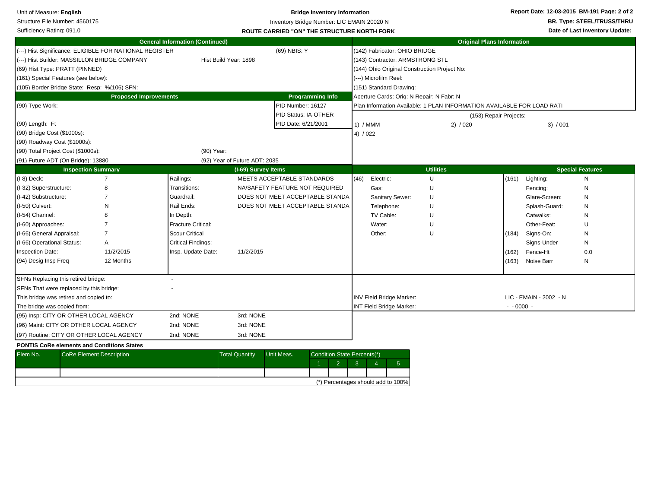| Unit of Measure: English                          |                                 |                                                         |                                        |                               |                                | <b>Bridge Inventory Information</b>                |                |                                              |                                                                        |                        |                        | Report Date: 12-03-2015 BM-191 Page: 2 of 2 |
|---------------------------------------------------|---------------------------------|---------------------------------------------------------|----------------------------------------|-------------------------------|--------------------------------|----------------------------------------------------|----------------|----------------------------------------------|------------------------------------------------------------------------|------------------------|------------------------|---------------------------------------------|
| Structure File Number: 4560175                    |                                 |                                                         |                                        |                               |                                | Inventory Bridge Number: LIC EMAIN 20020 N         |                |                                              |                                                                        |                        |                        | <b>BR. Type: STEEL/TRUSS/THRU</b>           |
| Sufficiency Rating: 091.0                         |                                 |                                                         |                                        |                               |                                | <b>ROUTE CARRIED "ON" THE STRUCTURE NORTH FORK</b> |                |                                              |                                                                        |                        |                        | Date of Last Inventory Update:              |
|                                                   |                                 |                                                         | <b>General Information (Continued)</b> |                               |                                |                                                    |                |                                              | <b>Original Plans Information</b>                                      |                        |                        |                                             |
|                                                   |                                 | (---) Hist Significance: ELIGIBLE FOR NATIONAL REGISTER |                                        |                               | (69) NBIS: Y                   |                                                    |                | (142) Fabricator: OHIO BRIDGE                |                                                                        |                        |                        |                                             |
|                                                   |                                 | (---) Hist Builder: MASSILLON BRIDGE COMPANY            |                                        | Hist Build Year: 1898         |                                |                                                    |                | (143) Contractor: ARMSTRONG STL              |                                                                        |                        |                        |                                             |
| (69) Hist Type: PRATT (PINNED)                    |                                 |                                                         |                                        |                               |                                |                                                    |                | (144) Ohio Original Construction Project No: |                                                                        |                        |                        |                                             |
| (161) Special Features (see below):               |                                 |                                                         |                                        |                               |                                |                                                    |                | (---) Microfilm Reel:                        |                                                                        |                        |                        |                                             |
| (105) Border Bridge State: Resp: %(106) SFN:      |                                 |                                                         |                                        |                               |                                |                                                    |                | (151) Standard Drawing:                      |                                                                        |                        |                        |                                             |
|                                                   |                                 | <b>Proposed Improvements</b>                            |                                        |                               |                                | <b>Programming Info</b>                            |                | Aperture Cards: Orig: N Repair: N Fabr: N    |                                                                        |                        |                        |                                             |
| (90) Type Work: -                                 |                                 |                                                         |                                        |                               | PID Number: 16127              |                                                    |                |                                              | Plan Information Available: 1 PLAN INFORMATION AVAILABLE FOR LOAD RATI |                        |                        |                                             |
|                                                   |                                 |                                                         |                                        |                               | PID Status: IA-OTHER           |                                                    |                |                                              |                                                                        | (153) Repair Projects: |                        |                                             |
| (90) Length: Ft                                   |                                 |                                                         |                                        |                               | PID Date: 6/21/2001            |                                                    | 1) / MMM       |                                              | 2) / 020                                                               |                        | 3) / 001               |                                             |
| (90) Bridge Cost (\$1000s):                       |                                 |                                                         |                                        |                               |                                |                                                    | 4) / 022       |                                              |                                                                        |                        |                        |                                             |
| (90) Roadway Cost (\$1000s):                      |                                 |                                                         |                                        |                               |                                |                                                    |                |                                              |                                                                        |                        |                        |                                             |
| (90) Total Project Cost (\$1000s):                |                                 |                                                         | (90) Year:                             |                               |                                |                                                    |                |                                              |                                                                        |                        |                        |                                             |
| (91) Future ADT (On Bridge): 13880                |                                 |                                                         |                                        | (92) Year of Future ADT: 2035 |                                |                                                    |                |                                              |                                                                        |                        |                        |                                             |
|                                                   | <b>Inspection Summary</b>       |                                                         |                                        | (I-69) Survey Items           |                                |                                                    |                |                                              | <b>Utilities</b>                                                       |                        |                        | <b>Special Features</b>                     |
| $(I-8)$ Deck:                                     |                                 | 7                                                       | Railings:                              |                               | MEETS ACCEPTABLE STANDARDS     |                                                    | (46)           | Electric:                                    | U                                                                      |                        | $(161)$ Lighting:      | ${\sf N}$                                   |
| (I-32) Superstructure:                            |                                 | 8                                                       | Transitions:                           |                               | NA/SAFETY FEATURE NOT REQUIRED |                                                    |                | Gas:                                         | U                                                                      |                        | Fencing:               | N                                           |
| (I-42) Substructure:                              |                                 |                                                         | Guardrail:                             |                               |                                | DOES NOT MEET ACCEPTABLE STANDA                    |                | Sanitary Sewer:                              | U                                                                      |                        | Glare-Screen:          | N                                           |
| (I-50) Culvert:                                   |                                 | N                                                       | Rail Ends:                             |                               |                                | DOES NOT MEET ACCEPTABLE STANDA                    |                | Telephone:                                   | U                                                                      |                        | Splash-Guard:          | N                                           |
| (I-54) Channel:                                   |                                 |                                                         | In Depth:                              |                               |                                |                                                    |                | TV Cable:                                    | $\cup$                                                                 |                        | Catwalks:              | N                                           |
| (I-60) Approaches:                                |                                 |                                                         | <b>Fracture Critical:</b>              |                               |                                |                                                    |                | Water:                                       | U                                                                      |                        | Other-Feat:            | U                                           |
| (I-66) General Appraisal:                         |                                 | 7                                                       | <b>Scour Critical</b>                  |                               |                                |                                                    |                | Other:                                       | Ù                                                                      | (184)                  | Signs-On:              | N                                           |
| (I-66) Operational Status:                        |                                 | Α                                                       | <b>Critical Findings:</b>              |                               |                                |                                                    |                |                                              |                                                                        |                        | Signs-Under            | N                                           |
| Inspection Date:                                  |                                 | 11/2/2015                                               | Insp. Update Date:                     | 11/2/2015                     |                                |                                                    |                |                                              |                                                                        | (162)                  | Fence-Ht               | 0.0                                         |
| (94) Desig Insp Freq                              |                                 | 12 Months                                               |                                        |                               |                                |                                                    |                |                                              |                                                                        | (163)                  | Noise Barr             | N                                           |
| SFNs Replacing this retired bridge:               |                                 |                                                         |                                        |                               |                                |                                                    |                |                                              |                                                                        |                        |                        |                                             |
| SFNs That were replaced by this bridge:           |                                 |                                                         |                                        |                               |                                |                                                    |                |                                              |                                                                        |                        |                        |                                             |
| This bridge was retired and copied to:            |                                 |                                                         |                                        |                               |                                |                                                    |                | INV Field Bridge Marker:                     |                                                                        |                        | LIC - EMAIN - 2002 - N |                                             |
| The bridge was copied from:                       |                                 |                                                         |                                        |                               |                                |                                                    |                | INT Field Bridge Marker:                     |                                                                        | $- 0000 -$             |                        |                                             |
| (95) Insp: CITY OR OTHER LOCAL AGENCY             |                                 |                                                         | 2nd: NONE                              | 3rd: NONE                     |                                |                                                    |                |                                              |                                                                        |                        |                        |                                             |
| (96) Maint: CITY OR OTHER LOCAL AGENCY            |                                 |                                                         | 2nd: NONE                              | 3rd: NONE                     |                                |                                                    |                |                                              |                                                                        |                        |                        |                                             |
| (97) Routine: CITY OR OTHER LOCAL AGENCY          |                                 |                                                         | 2nd: NONE                              | 3rd: NONE                     |                                |                                                    |                |                                              |                                                                        |                        |                        |                                             |
| <b>PONTIS CoRe elements and Conditions States</b> |                                 |                                                         |                                        |                               |                                |                                                    |                |                                              |                                                                        |                        |                        |                                             |
| Elem No.                                          | <b>CoRe Element Description</b> |                                                         |                                        | <b>Total Quantity</b>         | Unit Meas.                     | Condition State Percents(*)                        |                |                                              |                                                                        |                        |                        |                                             |
|                                                   |                                 |                                                         |                                        |                               |                                | $\overline{2}$<br>-1                               | 3 <sup>°</sup> | 5 <sup>5</sup><br>$\overline{4}$             |                                                                        |                        |                        |                                             |
|                                                   |                                 |                                                         |                                        |                               |                                |                                                    |                |                                              |                                                                        |                        |                        |                                             |
|                                                   |                                 |                                                         |                                        |                               |                                |                                                    |                | (*) Percentages should add to 100%           |                                                                        |                        |                        |                                             |